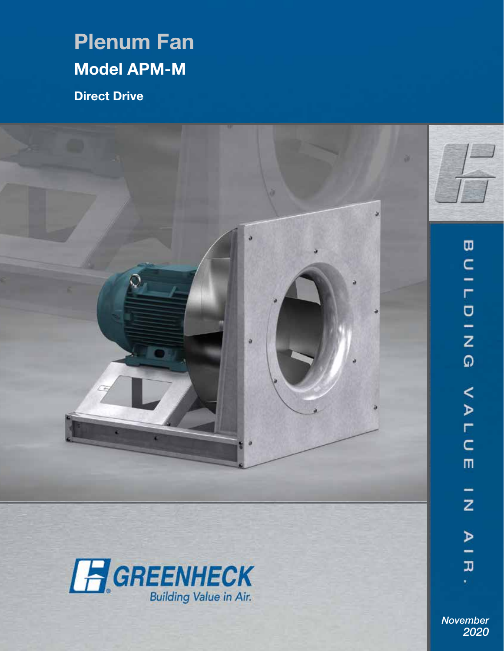# Plenum Fan Model APM-M

Direct Drive





AIR *November 2020*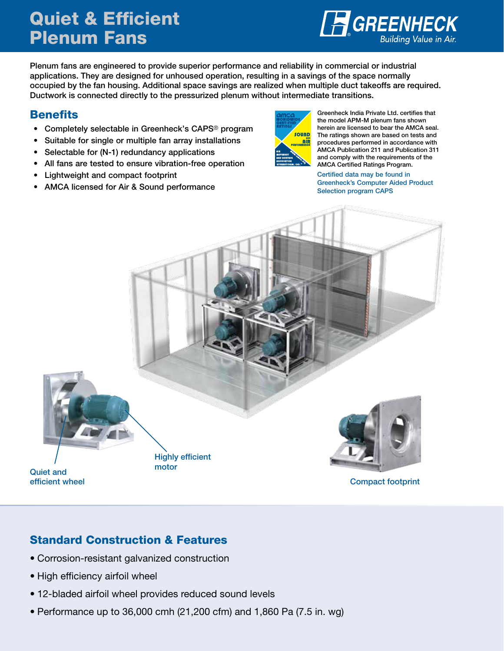# Quiet & Efficient Plenum Fans



Plenum fans are engineered to provide superior performance and reliability in commercial or industrial applications. They are designed for unhoused operation, resulting in a savings of the space normally occupied by the fan housing. Additional space savings are realized when multiple duct takeoffs are required. Ductwork is connected directly to the pressurized plenum without intermediate transitions.

### **Benefits**

- Completely selectable in Greenheck's CAPS® program
- Suitable for single or multiple fan array installations
- Selectable for (N-1) redundancy applications
- All fans are tested to ensure vibration-free operation
- Lightweight and compact footprint
- AMCA licensed for Air & Sound performance



Greenheck India Private Ltd. certifies that the model APM-M plenum fans shown herein are licensed to bear the AMCA seal. The ratings shown are based on tests and procedures performed in accordance with AMCA Publication 211 and Publication 311 and comply with the requirements of the AMCA Certified Ratings Program.

Certified data may be found in Greenheck's Computer Aided Product Selection program CAPS



### Standard Construction & Features

- Corrosion-resistant galvanized construction
- High efficiency airfoil wheel
- 12-bladed airfoil wheel provides reduced sound levels
- Performance up to 36,000 cmh (21,200 cfm) and 1,860 Pa (7.5 in. wg)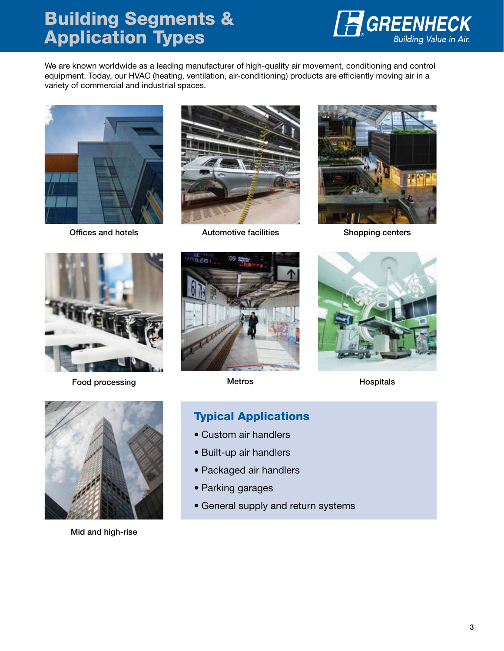# Building Segments & Application Types



We are known worldwide as a leading manufacturer of high-quality air movement, conditioning and control equipment. Today, our HVAC (heating, ventilation, air-conditioning) products are efficiently moving air in a variety of commercial and industrial spaces.



Offices and hotels



Automotive facilities Shopping centers





Food processing





Metros **Hospitals** 



Mid and high-rise

### Typical Applications

- Custom air handlers
- Built-up air handlers
- Packaged air handlers
- Parking garages
- General supply and return systems